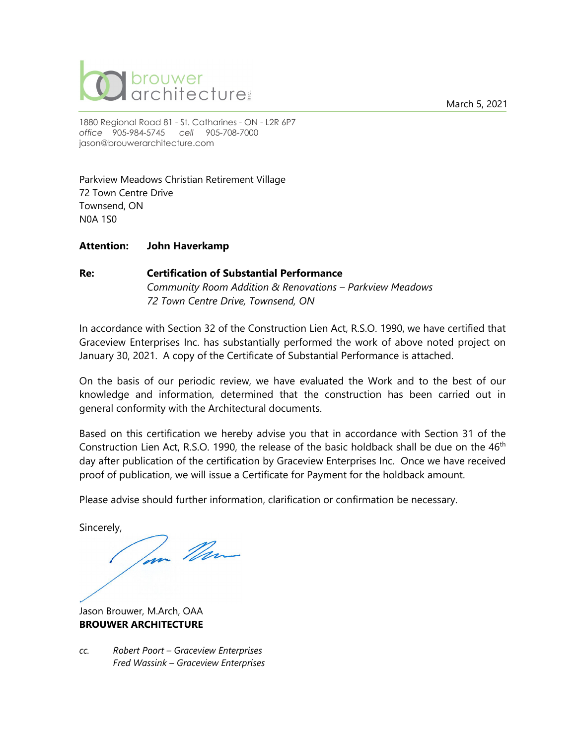March 5, 2021



1880 Regional Road 81 - St. Catharines - ON - L2R 6P7 *office* 905-984-5745 *cell* 905-708-7000 [jason@brouwerarchitecture.com](mailto:jason@brouwerarchitecture.com)

Parkview Meadows Christian Retirement Village 72 Town Centre Drive Townsend, ON N0A 1S0

### **Attention: John Haverkamp**

### **Re: Certification of Substantial Performance** *Community Room Addition & Renovations – Parkview Meadows 72 Town Centre Drive, Townsend, ON*

In accordance with Section 32 of the Construction Lien Act, R.S.O. 1990, we have certified that Graceview Enterprises Inc. has substantially performed the work of above noted project on January 30, 2021. A copy of the Certificate of Substantial Performance is attached.

On the basis of our periodic review, we have evaluated the Work and to the best of our knowledge and information, determined that the construction has been carried out in general conformity with the Architectural documents.

Based on this certification we hereby advise you that in accordance with Section 31 of the Construction Lien Act, R.S.O. 1990, the release of the basic holdback shall be due on the 46<sup>th</sup> day after publication of the certification by Graceview Enterprises Inc. Once we have received proof of publication, we will issue a Certificate for Payment for the holdback amount.

Please advise should further information, clarification or confirmation be necessary.

Sincerely,

Tom Man

Jason Brouwer, M.Arch, OAA **BROUWER ARCHITECTURE**

*cc. Robert Poort – Graceview Enterprises Fred Wassink – Graceview Enterprises*